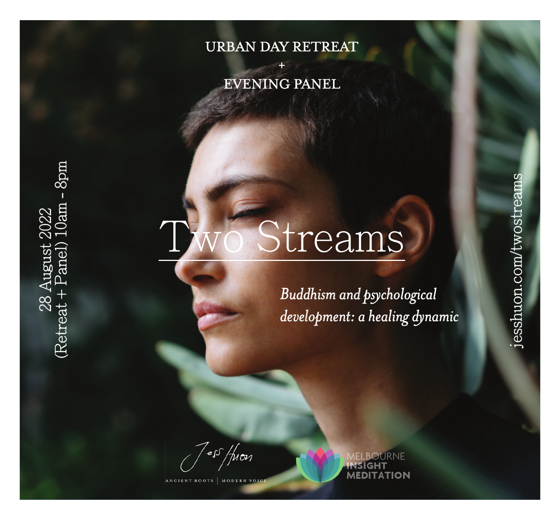## URBAN DAY RETREAT

## + EVENING PANEL

# streams

*Buddhism and psychological development: a healing dynamic*

esshuon.com/twostreams jesshuon.com/twostreams

ess /pon

28 August 2022 (Retreat + Panel) 10am - 8pm

anel ນຊຸນ

**(Retrea** 

 $\begin{array}{c} 2022 \\ 10am - 8pm \end{array}$ 

**ANCIENT ROOTS** 

OURNE **MEDITATION**